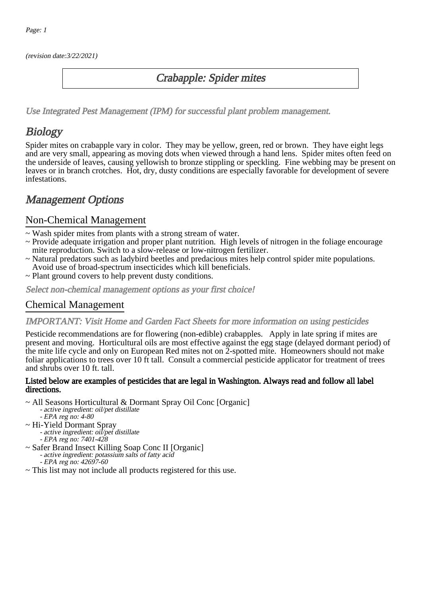(revision date:3/22/2021)

## Crabapple: Spider mites

[Use Integrated Pest Management \(IPM\) for successful plant problem management.](http://pep.wsu.edu/Home_Garden/H_G_Pesticide_info/urban_Integrated_Pest_Managmen/)

## **Biology**

Spider mites on crabapple vary in color. They may be yellow, green, red or brown. They have eight legs and are very small, appearing as moving dots when viewed through a hand lens. Spider mites often feed on the underside of leaves, causing yellowish to bronze stippling or speckling. Fine webbing may be present on leaves or in branch crotches. Hot, dry, dusty conditions are especially favorable for development of severe infestations.

## Management Options

### Non-Chemical Management

- ~ Wash spider mites from plants with a strong stream of water.
- ~ Provide adequate irrigation and proper plant nutrition. High levels of nitrogen in the foliage encourage mite reproduction. Switch to a slow-release or low-nitrogen fertilizer.
- ~ Natural predators such as ladybird beetles and predacious mites help control spider mite populations. Avoid use of broad-spectrum insecticides which kill beneficials.
- ~ Plant ground covers to help prevent dusty conditions.

Select non-chemical management options as your first choice!

## Chemical Management

#### IMPORTANT: [Visit Home and Garden Fact Sheets for more information on using pesticides](http://pep.wsu.edu/Home_Garden/H_G_Pesticide_info/)

Pesticide recommendations are for flowering (non-edible) crabapples. Apply in late spring if mites are present and moving. Horticultural oils are most effective against the egg stage (delayed dormant period) of the mite life cycle and only on European Red mites not on 2-spotted mite. Homeowners should not make foliar applications to trees over 10 ft tall. Consult a commercial pesticide applicator for treatment of trees and shrubs over 10 ft. tall.

#### Listed below are examples of pesticides that are legal in Washington. Always read and follow all label directions.

- ~ All Seasons Horticultural & Dormant Spray Oil Conc [Organic]
	- active ingredient: oil/pet distillate
		- EPA reg no: 4-80
- ~ Hi-Yield Dormant Spray
	- active ingredient: oil/pet distillate
- ~ Safer Brand Insect Killing Soap Conc II [Organic] EPA reg no: 7401-428
	- active ingredient: potassium salts of fatty acid
		- EPA reg no: 42697-60
- ~ This list may not include all products registered for this use.